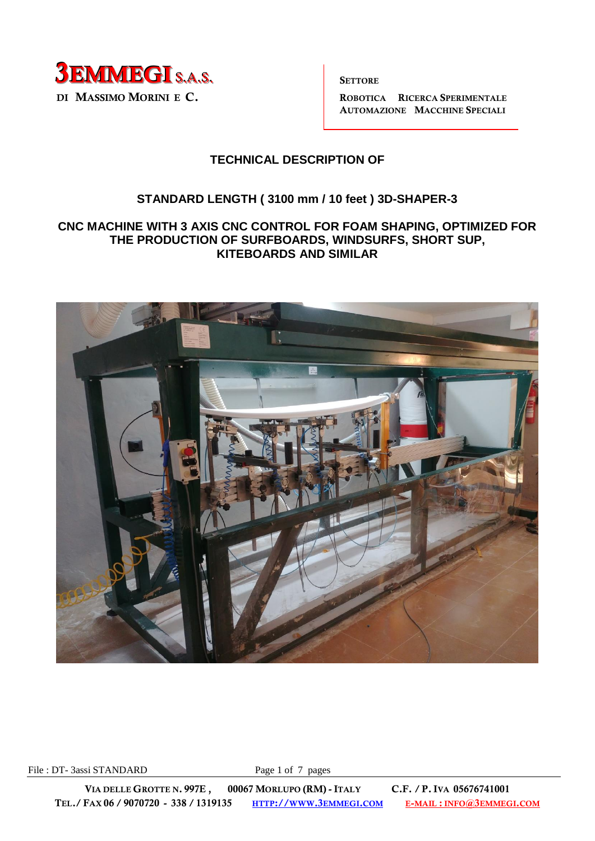

**DI MASSIMO MORINI E C. ROBOTICA RICERCA SPERIMENTALE AUTOMAZIONE MACCHINE SPECIALI**

# **TECHNICAL DESCRIPTION OF**

# **STANDARD LENGTH ( 3100 mm / 10 feet ) 3D-SHAPER-3**

### **CNC MACHINE WITH 3 AXIS CNC CONTROL FOR FOAM SHAPING, OPTIMIZED FOR THE PRODUCTION OF SURFBOARDS, WINDSURFS, SHORT SUP, KITEBOARDS AND SIMILAR**



File : DT- 3assi STANDARD Page 1 of 7 pages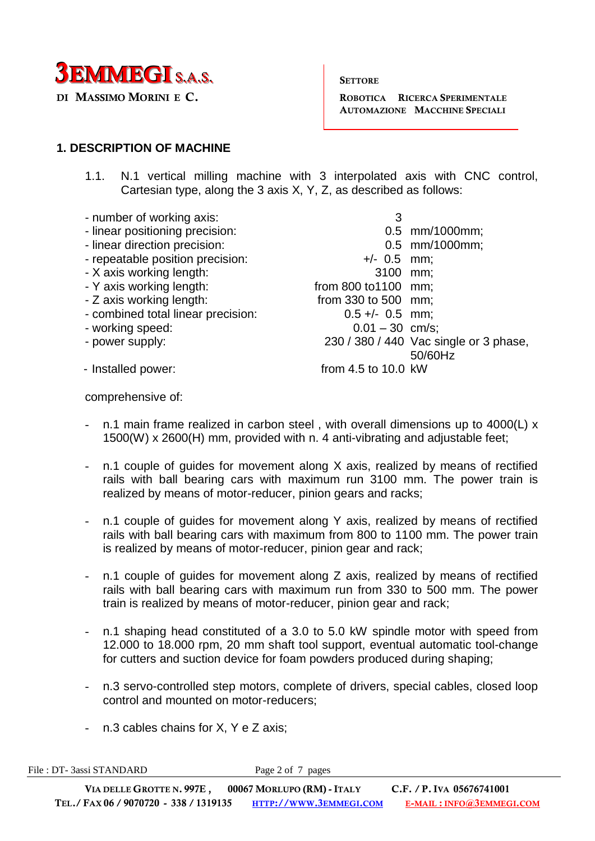

**DI MASSIMO MORINI E C. ROBOTICA RICERCA SPERIMENTALE AUTOMAZIONE MACCHINE SPECIALI**

### **1. DESCRIPTION OF MACHINE**

- 1.1. N.1 vertical milling machine with 3 interpolated axis with CNC control, Cartesian type, along the 3 axis X, Y, Z, as described as follows:
- number of working axis: 3 - linear positioning precision: 0.5 mm/1000mm; - linear direction precision: 0.5 mm/1000mm; - repeatable position precision:  $+/- 0.5$  mm; - X axis working length: 3100 mm; - Y axis working length: from 800 to1100 mm; - Z axis working length: from 330 to 500 mm; - combined total linear precision: 0.5 +/- 0.5 mm; - working speed: 0.01 – 30 cm/s; - power supply: 230 / 380 / 440 Vac single or 3 phase, 50/60Hz - Installed power:  $\frac{1}{2}$  from 4.5 to 10.0 kW

comprehensive of:

- n.1 main frame realized in carbon steel, with overall dimensions up to 4000(L) x 1500(W) x 2600(H) mm, provided with n. 4 anti-vibrating and adjustable feet;
- n.1 couple of guides for movement along X axis, realized by means of rectified rails with ball bearing cars with maximum run 3100 mm. The power train is realized by means of motor-reducer, pinion gears and racks;
- n.1 couple of guides for movement along Y axis, realized by means of rectified rails with ball bearing cars with maximum from 800 to 1100 mm. The power train is realized by means of motor-reducer, pinion gear and rack;
- n.1 couple of guides for movement along Z axis, realized by means of rectified rails with ball bearing cars with maximum run from 330 to 500 mm. The power train is realized by means of motor-reducer, pinion gear and rack;
- n.1 shaping head constituted of a 3.0 to 5.0 kW spindle motor with speed from 12.000 to 18.000 rpm, 20 mm shaft tool support, eventual automatic tool-change for cutters and suction device for foam powders produced during shaping;
- n.3 servo-controlled step motors, complete of drivers, special cables, closed loop control and mounted on motor-reducers;
- n.3 cables chains for X, Y e Z axis;

File : DT- 3assi STANDARD Page 2 of 7 pages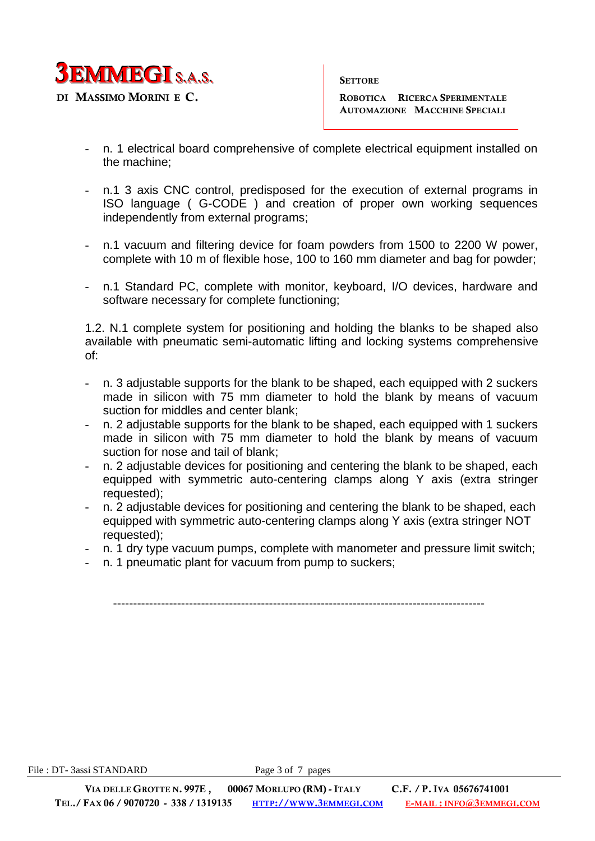

**AUTOMAZIONE MACCHINE SPECIALI**

- n. 1 electrical board comprehensive of complete electrical equipment installed on the machine;
- n.1 3 axis CNC control, predisposed for the execution of external programs in ISO language ( G-CODE ) and creation of proper own working sequences independently from external programs;
- n.1 vacuum and filtering device for foam powders from 1500 to 2200 W power, complete with 10 m of flexible hose, 100 to 160 mm diameter and bag for powder;
- n.1 Standard PC, complete with monitor, keyboard, I/O devices, hardware and software necessary for complete functioning;

1.2. N.1 complete system for positioning and holding the blanks to be shaped also available with pneumatic semi-automatic lifting and locking systems comprehensive of:

- n. 3 adjustable supports for the blank to be shaped, each equipped with 2 suckers made in silicon with 75 mm diameter to hold the blank by means of vacuum suction for middles and center blank;
- n. 2 adjustable supports for the blank to be shaped, each equipped with 1 suckers made in silicon with 75 mm diameter to hold the blank by means of vacuum suction for nose and tail of blank;
- n. 2 adjustable devices for positioning and centering the blank to be shaped, each equipped with symmetric auto-centering clamps along Y axis (extra stringer requested);
- n. 2 adjustable devices for positioning and centering the blank to be shaped, each equipped with symmetric auto-centering clamps along Y axis (extra stringer NOT requested);
- n. 1 dry type vacuum pumps, complete with manometer and pressure limit switch;

---------------------------------------------------------------------------------------------

n. 1 pneumatic plant for vacuum from pump to suckers;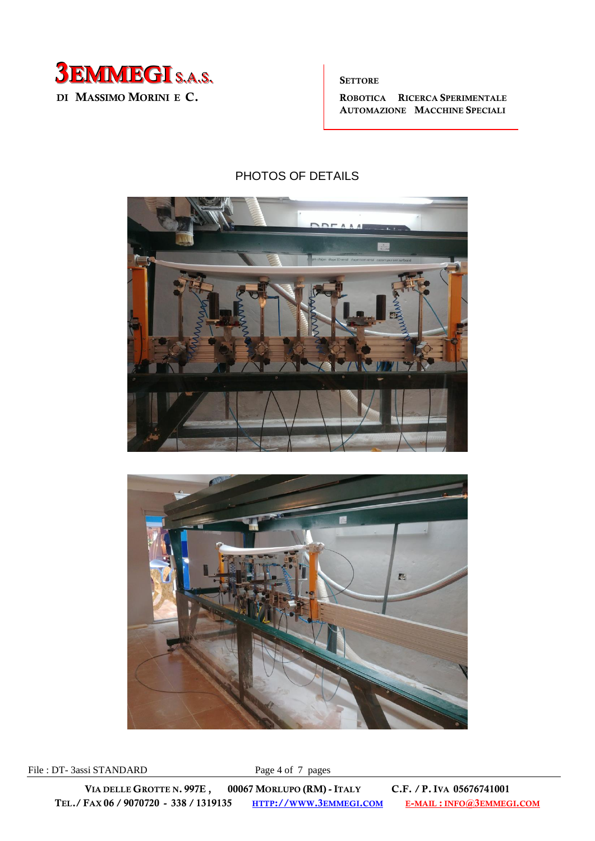

## PHOTOS OF DETAILS





File : DT- 3assi STANDARD Page 4 of 7 pages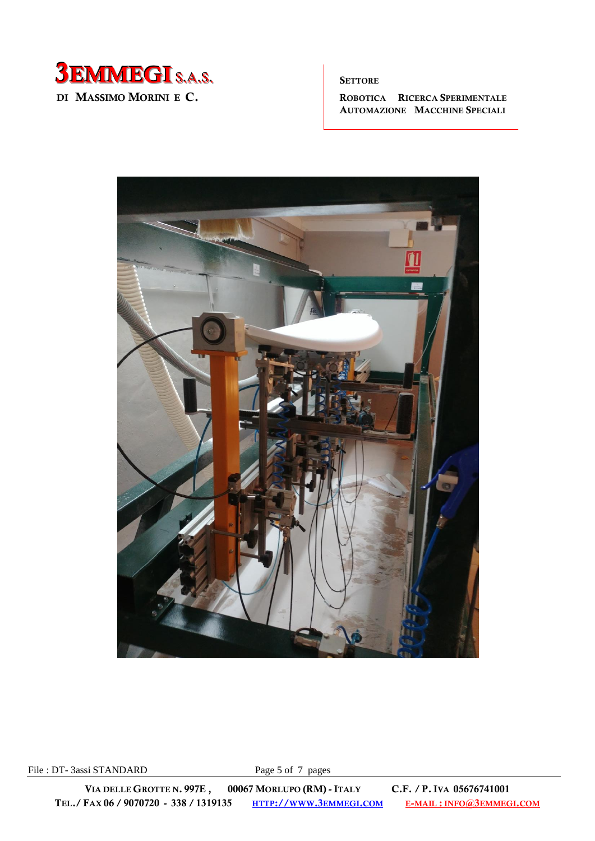



File : DT- 3assi STANDARD Page 5 of 7 pages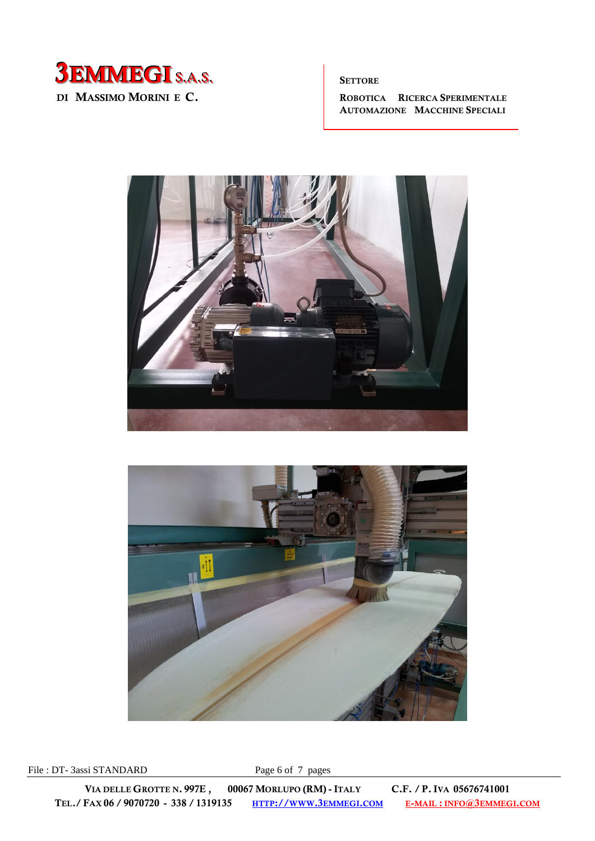





File : DT- 3assi STANDARD Page 6 of 7 pages